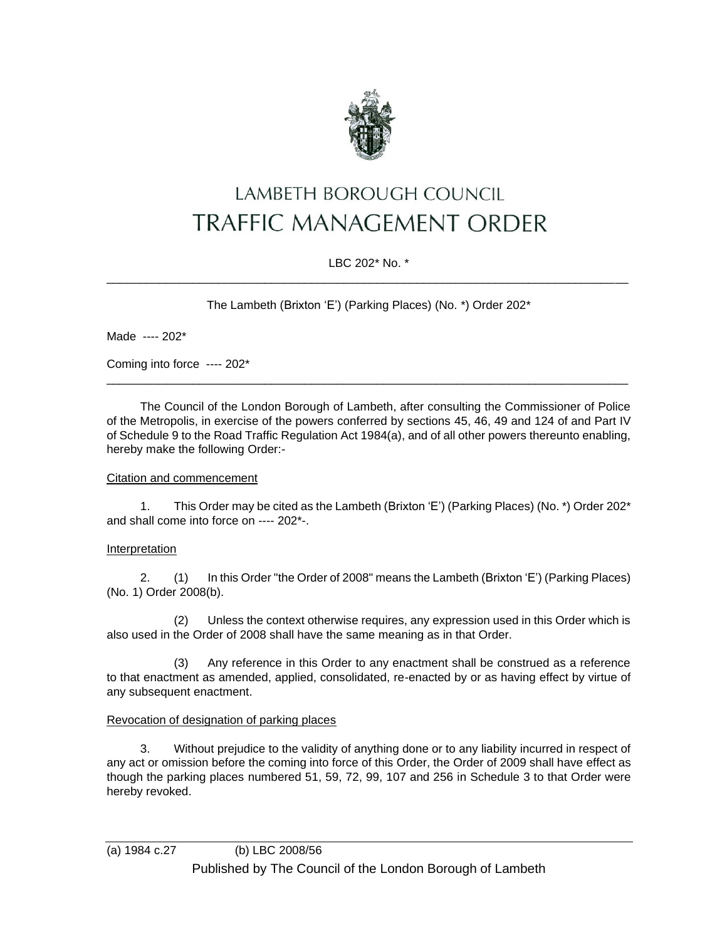

# LAMBETH BOROUGH COUNCIL **TRAFFIC MANAGEMENT ORDER**

## LBC 202\* No. \* \_\_\_\_\_\_\_\_\_\_\_\_\_\_\_\_\_\_\_\_\_\_\_\_\_\_\_\_\_\_\_\_\_\_\_\_\_\_\_\_\_\_\_\_\_\_\_\_\_\_\_\_\_\_\_\_\_\_\_\_\_\_\_\_\_\_\_\_\_\_\_\_\_\_\_\_\_\_\_

The Lambeth (Brixton 'E') (Parking Places) (No. \*) Order 202\*

Made ---- 202\*

Coming into force ---- 202\*

The Council of the London Borough of Lambeth, after consulting the Commissioner of Police of the Metropolis, in exercise of the powers conferred by sections 45, 46, 49 and 124 of and Part IV of Schedule 9 to the Road Traffic Regulation Act 1984(a), and of all other powers thereunto enabling, hereby make the following Order:-

\_\_\_\_\_\_\_\_\_\_\_\_\_\_\_\_\_\_\_\_\_\_\_\_\_\_\_\_\_\_\_\_\_\_\_\_\_\_\_\_\_\_\_\_\_\_\_\_\_\_\_\_\_\_\_\_\_\_\_\_\_\_\_\_\_\_\_\_\_\_\_\_\_\_\_\_\_\_\_

## Citation and commencement

1. This Order may be cited as the Lambeth (Brixton 'E') (Parking Places) (No. \*) Order 202\* and shall come into force on ---- 202\*-.

## Interpretation

2. (1) In this Order "the Order of 2008" means the Lambeth (Brixton 'E') (Parking Places) (No. 1) Order 2008(b).

(2) Unless the context otherwise requires, any expression used in this Order which is also used in the Order of 2008 shall have the same meaning as in that Order.

(3) Any reference in this Order to any enactment shall be construed as a reference to that enactment as amended, applied, consolidated, re-enacted by or as having effect by virtue of any subsequent enactment.

## Revocation of designation of parking places

3. Without prejudice to the validity of anything done or to any liability incurred in respect of any act or omission before the coming into force of this Order, the Order of 2009 shall have effect as though the parking places numbered 51, 59, 72, 99, 107 and 256 in Schedule 3 to that Order were hereby revoked.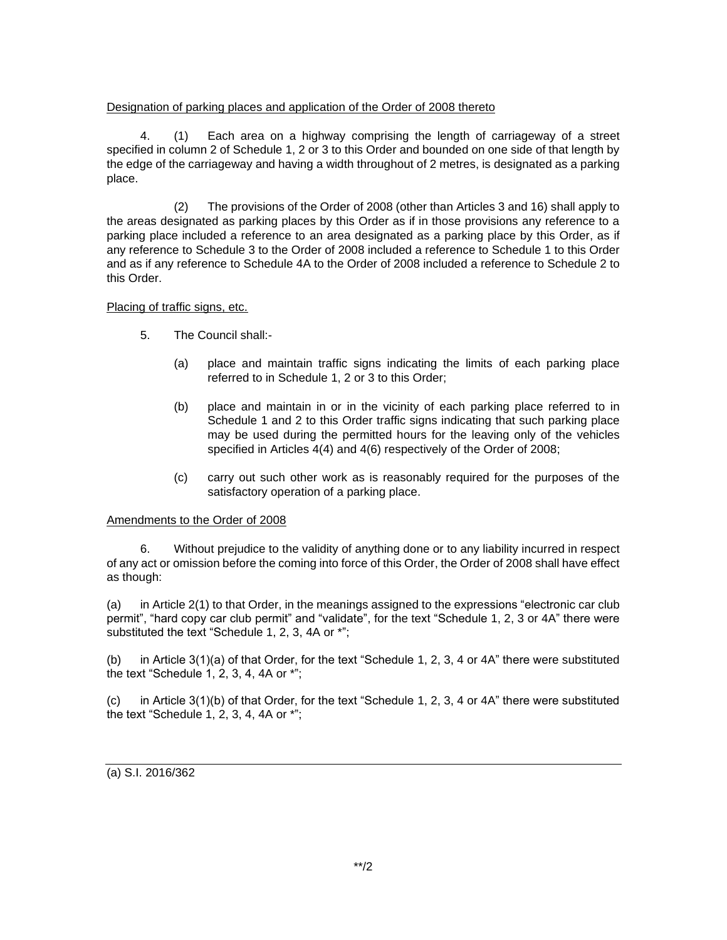## Designation of parking places and application of the Order of 2008 thereto

4. (1) Each area on a highway comprising the length of carriageway of a street specified in column 2 of Schedule 1, 2 or 3 to this Order and bounded on one side of that length by the edge of the carriageway and having a width throughout of 2 metres, is designated as a parking place.

(2) The provisions of the Order of 2008 (other than Articles 3 and 16) shall apply to the areas designated as parking places by this Order as if in those provisions any reference to a parking place included a reference to an area designated as a parking place by this Order, as if any reference to Schedule 3 to the Order of 2008 included a reference to Schedule 1 to this Order and as if any reference to Schedule 4A to the Order of 2008 included a reference to Schedule 2 to this Order.

## Placing of traffic signs, etc.

- 5. The Council shall:-
	- (a) place and maintain traffic signs indicating the limits of each parking place referred to in Schedule 1, 2 or 3 to this Order;
	- (b) place and maintain in or in the vicinity of each parking place referred to in Schedule 1 and 2 to this Order traffic signs indicating that such parking place may be used during the permitted hours for the leaving only of the vehicles specified in Articles 4(4) and 4(6) respectively of the Order of 2008;
	- (c) carry out such other work as is reasonably required for the purposes of the satisfactory operation of a parking place.

## Amendments to the Order of 2008

6. Without prejudice to the validity of anything done or to any liability incurred in respect of any act or omission before the coming into force of this Order, the Order of 2008 shall have effect as though:

(a) in Article 2(1) to that Order, in the meanings assigned to the expressions "electronic car club permit", "hard copy car club permit" and "validate", for the text "Schedule 1, 2, 3 or 4A" there were substituted the text "Schedule 1, 2, 3, 4A or \*";

(b) in Article 3(1)(a) of that Order, for the text "Schedule 1, 2, 3, 4 or 4A" there were substituted the text "Schedule 1, 2, 3, 4, 4A or \*";

(c) in Article 3(1)(b) of that Order, for the text "Schedule 1, 2, 3, 4 or 4A" there were substituted the text "Schedule 1, 2, 3, 4, 4A or \*";

(a) S.I. 2016/362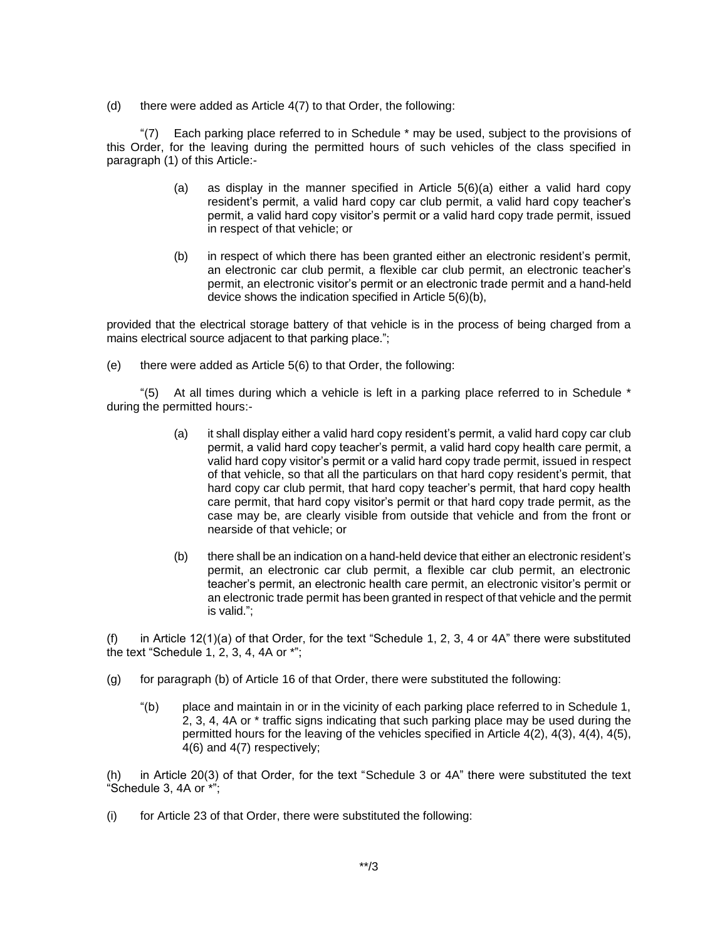(d) there were added as Article  $4(7)$  to that Order, the following:

"(7) Each parking place referred to in Schedule \* may be used, subject to the provisions of this Order, for the leaving during the permitted hours of such vehicles of the class specified in paragraph (1) of this Article:-

- (a) as display in the manner specified in Article  $5(6)(a)$  either a valid hard copy resident's permit, a valid hard copy car club permit, a valid hard copy teacher's permit, a valid hard copy visitor's permit or a valid hard copy trade permit, issued in respect of that vehicle; or
- (b) in respect of which there has been granted either an electronic resident's permit, an electronic car club permit, a flexible car club permit, an electronic teacher's permit, an electronic visitor's permit or an electronic trade permit and a hand-held device shows the indication specified in Article 5(6)(b),

provided that the electrical storage battery of that vehicle is in the process of being charged from a mains electrical source adjacent to that parking place.";

(e) there were added as Article 5(6) to that Order, the following:

"(5) At all times during which a vehicle is left in a parking place referred to in Schedule  $*$ during the permitted hours:-

- (a) it shall display either a valid hard copy resident's permit, a valid hard copy car club permit, a valid hard copy teacher's permit, a valid hard copy health care permit, a valid hard copy visitor's permit or a valid hard copy trade permit, issued in respect of that vehicle, so that all the particulars on that hard copy resident's permit, that hard copy car club permit, that hard copy teacher's permit, that hard copy health care permit, that hard copy visitor's permit or that hard copy trade permit, as the case may be, are clearly visible from outside that vehicle and from the front or nearside of that vehicle; or
- (b) there shall be an indication on a hand-held device that either an electronic resident's permit, an electronic car club permit, a flexible car club permit, an electronic teacher's permit, an electronic health care permit, an electronic visitor's permit or an electronic trade permit has been granted in respect of that vehicle and the permit is valid.";

(f) in Article 12(1)(a) of that Order, for the text "Schedule 1, 2, 3, 4 or 4A" there were substituted the text "Schedule 1, 2, 3, 4, 4A or \*";

- (g) for paragraph (b) of Article 16 of that Order, there were substituted the following:
	- "(b) place and maintain in or in the vicinity of each parking place referred to in Schedule 1, 2, 3, 4, 4A or \* traffic signs indicating that such parking place may be used during the permitted hours for the leaving of the vehicles specified in Article 4(2), 4(3), 4(4), 4(5), 4(6) and 4(7) respectively;

(h) in Article 20(3) of that Order, for the text "Schedule 3 or 4A" there were substituted the text "Schedule 3, 4A or \*";

(i) for Article 23 of that Order, there were substituted the following: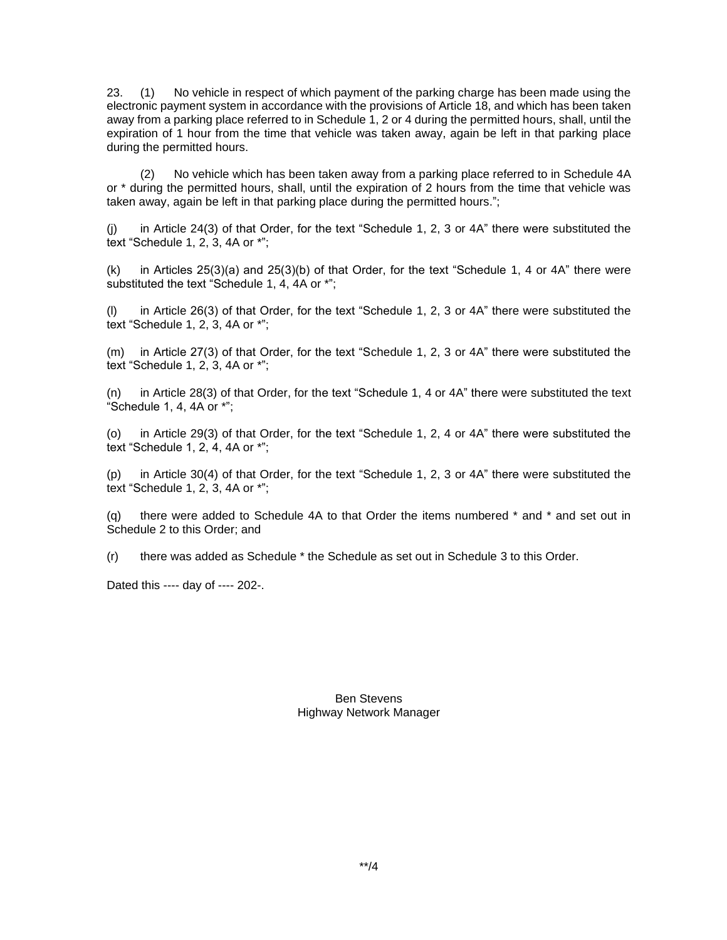23. (1) No vehicle in respect of which payment of the parking charge has been made using the electronic payment system in accordance with the provisions of Article 18, and which has been taken away from a parking place referred to in Schedule 1, 2 or 4 during the permitted hours, shall, until the expiration of 1 hour from the time that vehicle was taken away, again be left in that parking place during the permitted hours.

(2) No vehicle which has been taken away from a parking place referred to in Schedule 4A or \* during the permitted hours, shall, until the expiration of 2 hours from the time that vehicle was taken away, again be left in that parking place during the permitted hours.";

(j) in Article 24(3) of that Order, for the text "Schedule 1, 2, 3 or 4A" there were substituted the text "Schedule 1, 2, 3, 4A or \*";

(k) in Articles 25(3)(a) and 25(3)(b) of that Order, for the text "Schedule 1, 4 or 4A" there were substituted the text "Schedule 1, 4, 4A or \*";

(l) in Article 26(3) of that Order, for the text "Schedule 1, 2, 3 or 4A" there were substituted the text "Schedule 1, 2, 3, 4A or \*";

(m) in Article 27(3) of that Order, for the text "Schedule 1, 2, 3 or 4A" there were substituted the text "Schedule 1, 2, 3, 4A or \*";

(n) in Article 28(3) of that Order, for the text "Schedule 1, 4 or 4A" there were substituted the text "Schedule 1, 4, 4A or  $**$ ;

(o) in Article 29(3) of that Order, for the text "Schedule 1, 2, 4 or 4A" there were substituted the text "Schedule 1, 2, 4, 4A or \*";

(p) in Article 30(4) of that Order, for the text "Schedule 1, 2, 3 or 4A" there were substituted the text "Schedule 1, 2, 3, 4A or \*";

(q) there were added to Schedule 4A to that Order the items numbered \* and \* and set out in Schedule 2 to this Order; and

(r) there was added as Schedule \* the Schedule as set out in Schedule 3 to this Order.

Dated this ---- day of ---- 202-.

Ben Stevens Highway Network Manager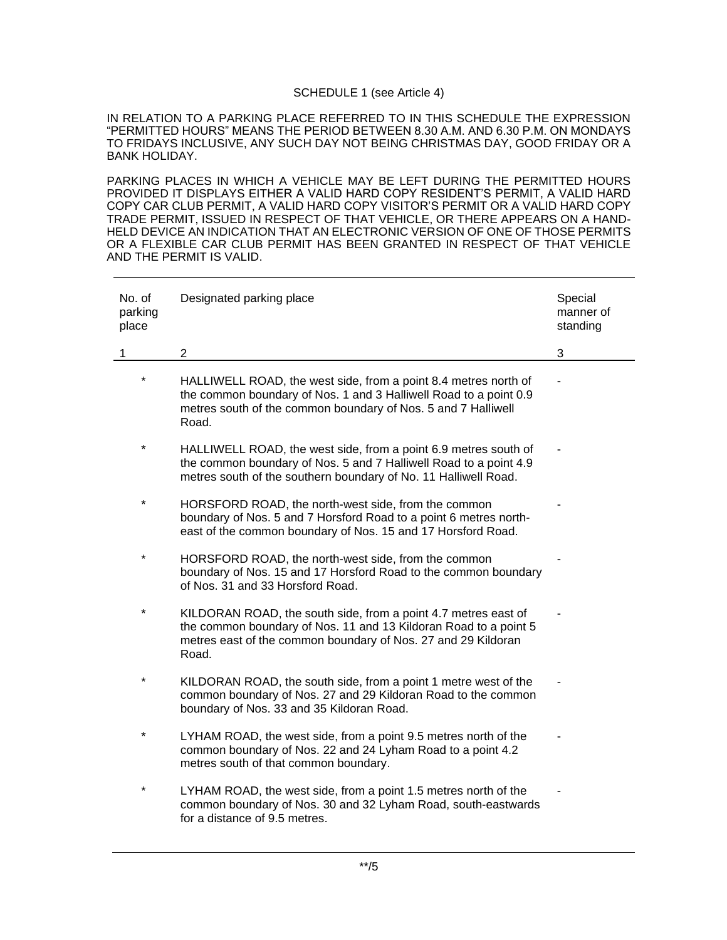## SCHEDULE 1 (see Article 4)

IN RELATION TO A PARKING PLACE REFERRED TO IN THIS SCHEDULE THE EXPRESSION "PERMITTED HOURS" MEANS THE PERIOD BETWEEN 8.30 A.M. AND 6.30 P.M. ON MONDAYS TO FRIDAYS INCLUSIVE, ANY SUCH DAY NOT BEING CHRISTMAS DAY, GOOD FRIDAY OR A BANK HOLIDAY.

PARKING PLACES IN WHICH A VEHICLE MAY BE LEFT DURING THE PERMITTED HOURS PROVIDED IT DISPLAYS EITHER A VALID HARD COPY RESIDENT'S PERMIT, A VALID HARD COPY CAR CLUB PERMIT, A VALID HARD COPY VISITOR'S PERMIT OR A VALID HARD COPY TRADE PERMIT, ISSUED IN RESPECT OF THAT VEHICLE, OR THERE APPEARS ON A HAND-HELD DEVICE AN INDICATION THAT AN ELECTRONIC VERSION OF ONE OF THOSE PERMITS OR A FLEXIBLE CAR CLUB PERMIT HAS BEEN GRANTED IN RESPECT OF THAT VEHICLE AND THE PERMIT IS VALID.

| No. of<br>parking<br>place | Designated parking place                                                                                                                                                                                       | Special<br>manner of<br>standing |
|----------------------------|----------------------------------------------------------------------------------------------------------------------------------------------------------------------------------------------------------------|----------------------------------|
| 1                          | $\overline{2}$                                                                                                                                                                                                 | 3                                |
| $\star$                    | HALLIWELL ROAD, the west side, from a point 8.4 metres north of<br>the common boundary of Nos. 1 and 3 Halliwell Road to a point 0.9<br>metres south of the common boundary of Nos. 5 and 7 Halliwell<br>Road. |                                  |
| *                          | HALLIWELL ROAD, the west side, from a point 6.9 metres south of<br>the common boundary of Nos. 5 and 7 Halliwell Road to a point 4.9<br>metres south of the southern boundary of No. 11 Halliwell Road.        |                                  |
| $\star$                    | HORSFORD ROAD, the north-west side, from the common<br>boundary of Nos. 5 and 7 Horsford Road to a point 6 metres north-<br>east of the common boundary of Nos. 15 and 17 Horsford Road.                       |                                  |
| $\star$                    | HORSFORD ROAD, the north-west side, from the common<br>boundary of Nos. 15 and 17 Horsford Road to the common boundary<br>of Nos. 31 and 33 Horsford Road.                                                     |                                  |
| $\star$                    | KILDORAN ROAD, the south side, from a point 4.7 metres east of<br>the common boundary of Nos. 11 and 13 Kildoran Road to a point 5<br>metres east of the common boundary of Nos. 27 and 29 Kildoran<br>Road.   |                                  |
| *                          | KILDORAN ROAD, the south side, from a point 1 metre west of the<br>common boundary of Nos. 27 and 29 Kildoran Road to the common<br>boundary of Nos. 33 and 35 Kildoran Road.                                  |                                  |
| *                          | LYHAM ROAD, the west side, from a point 9.5 metres north of the<br>common boundary of Nos. 22 and 24 Lyham Road to a point 4.2<br>metres south of that common boundary.                                        |                                  |
| *                          | LYHAM ROAD, the west side, from a point 1.5 metres north of the<br>common boundary of Nos. 30 and 32 Lyham Road, south-eastwards<br>for a distance of 9.5 metres.                                              |                                  |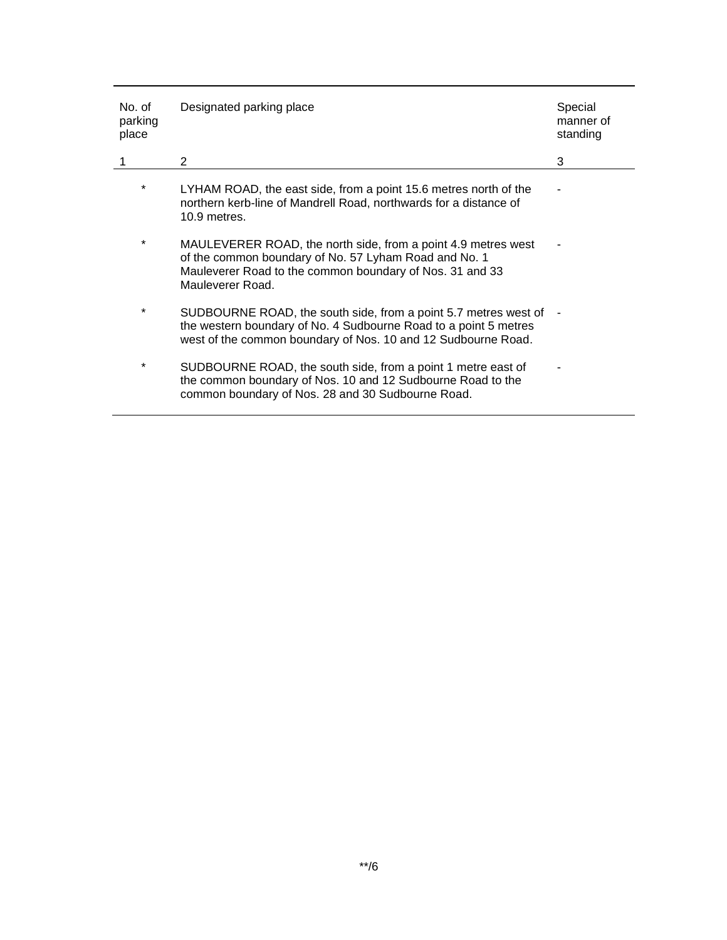| No. of<br>parking<br>place | Designated parking place                                                                                                                                                                               | Special<br>manner of<br>standing |
|----------------------------|--------------------------------------------------------------------------------------------------------------------------------------------------------------------------------------------------------|----------------------------------|
|                            | $\overline{2}$                                                                                                                                                                                         | 3                                |
| *                          | LYHAM ROAD, the east side, from a point 15.6 metres north of the<br>northern kerb-line of Mandrell Road, northwards for a distance of<br>10.9 metres.                                                  |                                  |
| *                          | MAULEVERER ROAD, the north side, from a point 4.9 metres west<br>of the common boundary of No. 57 Lyham Road and No. 1<br>Mauleverer Road to the common boundary of Nos. 31 and 33<br>Mauleverer Road. |                                  |
| *                          | SUDBOURNE ROAD, the south side, from a point 5.7 metres west of<br>the western boundary of No. 4 Sudbourne Road to a point 5 metres<br>west of the common boundary of Nos. 10 and 12 Sudbourne Road.   |                                  |
| $\star$                    | SUDBOURNE ROAD, the south side, from a point 1 metre east of<br>the common boundary of Nos. 10 and 12 Sudbourne Road to the<br>common boundary of Nos. 28 and 30 Sudbourne Road.                       |                                  |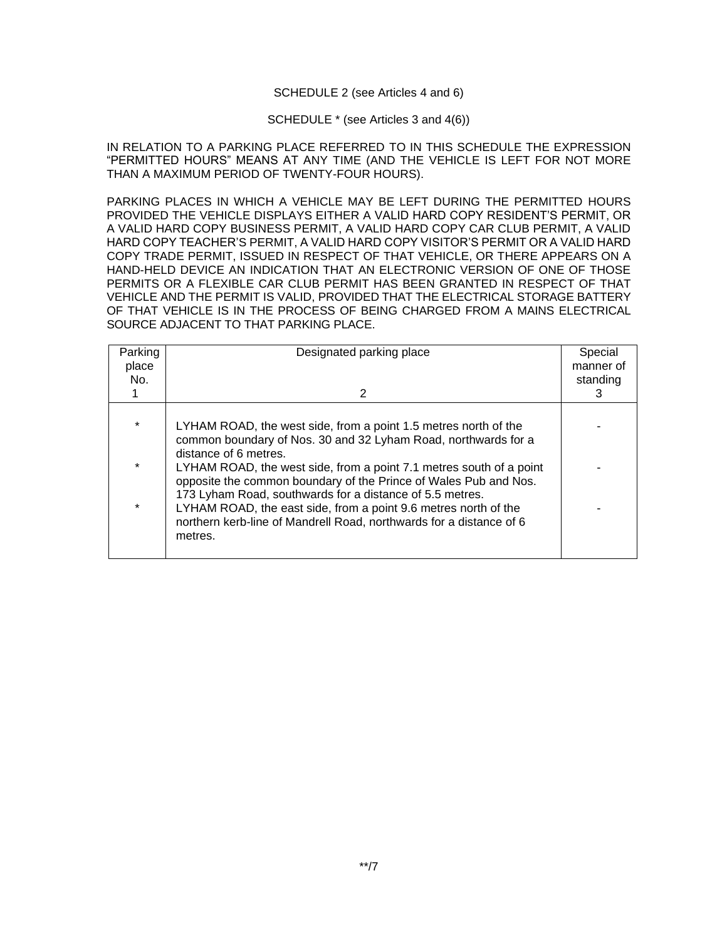### SCHEDULE 2 (see Articles 4 and 6)

#### SCHEDULE \* (see Articles 3 and 4(6))

IN RELATION TO A PARKING PLACE REFERRED TO IN THIS SCHEDULE THE EXPRESSION "PERMITTED HOURS" MEANS AT ANY TIME (AND THE VEHICLE IS LEFT FOR NOT MORE THAN A MAXIMUM PERIOD OF TWENTY-FOUR HOURS).

PARKING PLACES IN WHICH A VEHICLE MAY BE LEFT DURING THE PERMITTED HOURS PROVIDED THE VEHICLE DISPLAYS EITHER A VALID HARD COPY RESIDENT'S PERMIT, OR A VALID HARD COPY BUSINESS PERMIT, A VALID HARD COPY CAR CLUB PERMIT, A VALID HARD COPY TEACHER'S PERMIT, A VALID HARD COPY VISITOR'S PERMIT OR A VALID HARD COPY TRADE PERMIT, ISSUED IN RESPECT OF THAT VEHICLE, OR THERE APPEARS ON A HAND-HELD DEVICE AN INDICATION THAT AN ELECTRONIC VERSION OF ONE OF THOSE PERMITS OR A FLEXIBLE CAR CLUB PERMIT HAS BEEN GRANTED IN RESPECT OF THAT VEHICLE AND THE PERMIT IS VALID, PROVIDED THAT THE ELECTRICAL STORAGE BATTERY OF THAT VEHICLE IS IN THE PROCESS OF BEING CHARGED FROM A MAINS ELECTRICAL SOURCE ADJACENT TO THAT PARKING PLACE.

| Parking<br>place<br>No. | Designated parking place<br>2                                                                                                                                                                                 | Special<br>manner of<br>standing<br>З |
|-------------------------|---------------------------------------------------------------------------------------------------------------------------------------------------------------------------------------------------------------|---------------------------------------|
|                         |                                                                                                                                                                                                               |                                       |
| $\star$                 | LYHAM ROAD, the west side, from a point 1.5 metres north of the<br>common boundary of Nos. 30 and 32 Lyham Road, northwards for a                                                                             |                                       |
| $\star$                 | distance of 6 metres.<br>LYHAM ROAD, the west side, from a point 7.1 metres south of a point<br>opposite the common boundary of the Prince of Wales Pub and Nos.                                              |                                       |
| $\star$                 | 173 Lyham Road, southwards for a distance of 5.5 metres.<br>LYHAM ROAD, the east side, from a point 9.6 metres north of the<br>northern kerb-line of Mandrell Road, northwards for a distance of 6<br>metres. |                                       |